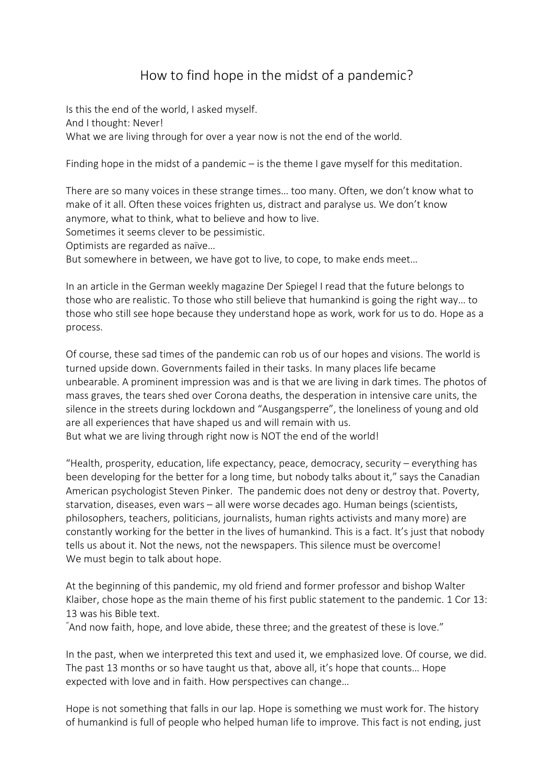## How to find hope in the midst of a pandemic?

Is this the end of the world, I asked myself. And I thought: Never! What we are living through for over a year now is not the end of the world.

Finding hope in the midst of a pandemic – is the theme I gave myself for this meditation.

There are so many voices in these strange times… too many. Often, we don't know what to make of it all. Often these voices frighten us, distract and paralyse us. We don't know anymore, what to think, what to believe and how to live.

Sometimes it seems clever to be pessimistic.

Optimists are regarded as naïve…

But somewhere in between, we have got to live, to cope, to make ends meet…

In an article in the German weekly magazine Der Spiegel I read that the future belongs to those who are realistic. To those who still believe that humankind is going the right way… to those who still see hope because they understand hope as work, work for us to do. Hope as a process.

Of course, these sad times of the pandemic can rob us of our hopes and visions. The world is turned upside down. Governments failed in their tasks. In many places life became unbearable. A prominent impression was and is that we are living in dark times. The photos of mass graves, the tears shed over Corona deaths, the desperation in intensive care units, the silence in the streets during lockdown and "Ausgangsperre", the loneliness of young and old are all experiences that have shaped us and will remain with us.

But what we are living through right now is NOT the end of the world!

"Health, prosperity, education, life expectancy, peace, democracy, security – everything has been developing for the better for a long time, but nobody talks about it," says the Canadian American psychologist Steven Pinker. The pandemic does not deny or destroy that. Poverty, starvation, diseases, even wars – all were worse decades ago. Human beings (scientists, philosophers, teachers, politicians, journalists, human rights activists and many more) are constantly working for the better in the lives of humankind. This is a fact. It's just that nobody tells us about it. Not the news, not the newspapers. This silence must be overcome! We must begin to talk about hope.

At the beginning of this pandemic, my old friend and former professor and bishop Walter Klaiber, chose hope as the main theme of his first public statement to the pandemic. 1 Cor 13: 13 was his Bible text.

 $\degree$ And now faith, hope, and love abide, these three; and the greatest of these is love."

In the past, when we interpreted this text and used it, we emphasized love. Of course, we did. The past 13 months or so have taught us that, above all, it's hope that counts… Hope expected with love and in faith. How perspectives can change…

Hope is not something that falls in our lap. Hope is something we must work for. The history of humankind is full of people who helped human life to improve. This fact is not ending, just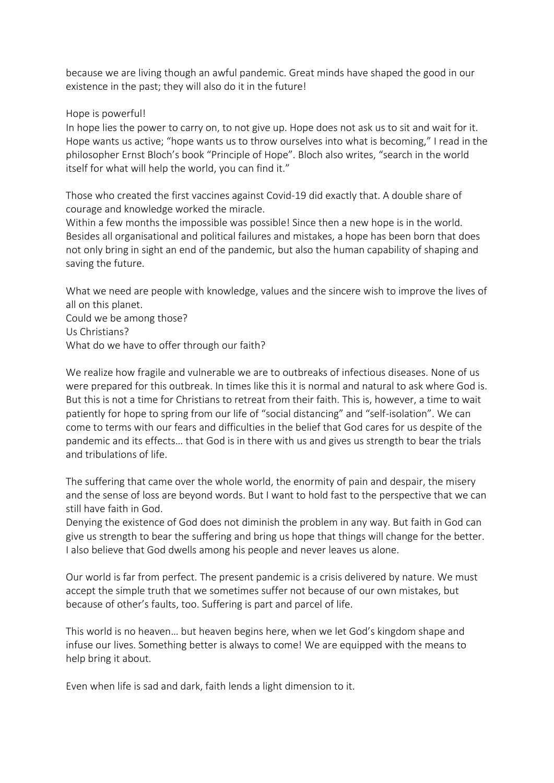because we are living though an awful pandemic. Great minds have shaped the good in our existence in the past; they will also do it in the future!

Hope is powerful!

In hope lies the power to carry on, to not give up. Hope does not ask us to sit and wait for it. Hope wants us active; "hope wants us to throw ourselves into what is becoming," I read in the philosopher Ernst Bloch's book "Principle of Hope". Bloch also writes, "search in the world itself for what will help the world, you can find it."

Those who created the first vaccines against Covid-19 did exactly that. A double share of courage and knowledge worked the miracle.

Within a few months the impossible was possible! Since then a new hope is in the world. Besides all organisational and political failures and mistakes, a hope has been born that does not only bring in sight an end of the pandemic, but also the human capability of shaping and saving the future.

What we need are people with knowledge, values and the sincere wish to improve the lives of all on this planet.

Could we be among those? Us Christians? What do we have to offer through our faith?

We realize how fragile and vulnerable we are to outbreaks of infectious diseases. None of us were prepared for this outbreak. In times like this it is normal and natural to ask where God is. But this is not a time for Christians to retreat from their faith. This is, however, a time to wait patiently for hope to spring from our life of "social distancing" and "self-isolation". We can come to terms with our fears and difficulties in the belief that God cares for us despite of the pandemic and its effects… that God is in there with us and gives us strength to bear the trials and tribulations of life.

The suffering that came over the whole world, the enormity of pain and despair, the misery and the sense of loss are beyond words. But I want to hold fast to the perspective that we can still have faith in God.

Denying the existence of God does not diminish the problem in any way. But faith in God can give us strength to bear the suffering and bring us hope that things will change for the better. I also believe that God dwells among his people and never leaves us alone.

Our world is far from perfect. The present pandemic is a crisis delivered by nature. We must accept the simple truth that we sometimes suffer not because of our own mistakes, but because of other's faults, too. Suffering is part and parcel of life.

This world is no heaven… but heaven begins here, when we let God's kingdom shape and infuse our lives. Something better is always to come! We are equipped with the means to help bring it about.

Even when life is sad and dark, faith lends a light dimension to it.